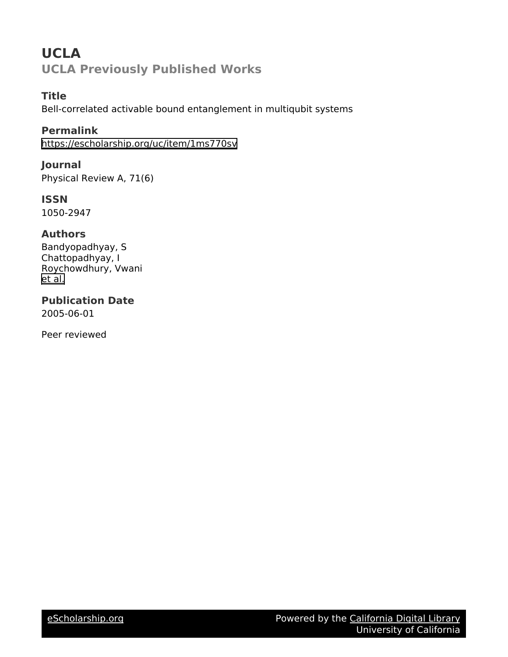# **UCLA UCLA Previously Published Works**

# **Title**

Bell-correlated activable bound entanglement in multiqubit systems

# **Permalink**

<https://escholarship.org/uc/item/1ms770sv>

### **Journal**

Physical Review A, 71(6)

### **ISSN**

1050-2947

### **Authors**

Bandyopadhyay, S Chattopadhyay, I Roychowdhury, Vwani [et al.](https://escholarship.org/uc/item/1ms770sv#author)

# **Publication Date**

2005-06-01

Peer reviewed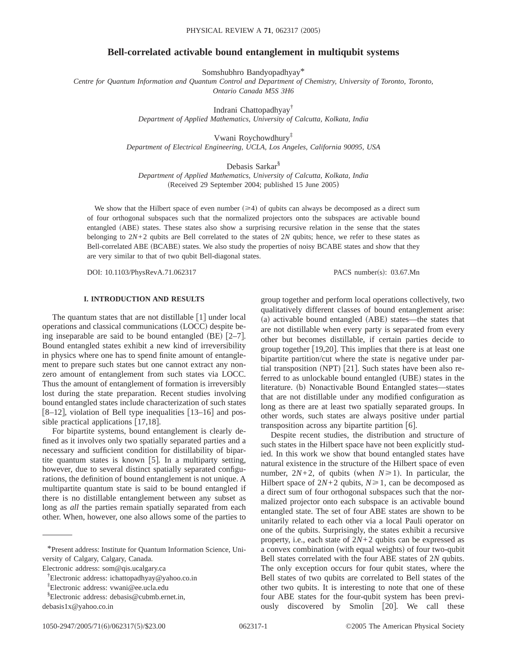### **Bell-correlated activable bound entanglement in multiqubit systems**

Somshubhro Bandyopadhyay\*

*Centre for Quantum Information and Quantum Control and Department of Chemistry, University of Toronto, Toronto, Ontario Canada M5S 3H6*

Indrani Chattopadhyay†

*Department of Applied Mathematics, University of Calcutta, Kolkata, India*

Vwani Roychowdhury‡ *Department of Electrical Engineering, UCLA, Los Angeles, California 90095, USA*

Debasis Sarkar<sup>§</sup> *Department of Applied Mathematics, University of Calcutta, Kolkata, India* (Received 29 September 2004; published 15 June 2005)

We show that the Hilbert space of even number  $(\geq 4)$  of qubits can always be decomposed as a direct sum of four orthogonal subspaces such that the normalized projectors onto the subspaces are activable bound entangled (ABE) states. These states also show a surprising recursive relation in the sense that the states belonging to 2*N*+2 qubits are Bell correlated to the states of 2*N* qubits; hence, we refer to these states as Bell-correlated ABE (BCABE) states. We also study the properties of noisy BCABE states and show that they are very similar to that of two qubit Bell-diagonal states.

DOI: 10.1103/PhysRevA.71.062317 PACS number(s): 03.67.Mn

### **I. INTRODUCTION AND RESULTS**

The quantum states that are not distillable  $\lceil 1 \rceil$  under local operations and classical communications (LOCC) despite being inseparable are said to be bound entangled (BE)  $[2-7]$ . Bound entangled states exhibit a new kind of irreversibility in physics where one has to spend finite amount of entanglement to prepare such states but one cannot extract any nonzero amount of entanglement from such states via LOCC. Thus the amount of entanglement of formation is irreversibly lost during the state preparation. Recent studies involving bound entangled states include characterization of such states [8–12], violation of Bell type inequalities  $[13–16]$  and possible practical applications  $[17,18]$ .

For bipartite systems, bound entanglement is clearly defined as it involves only two spatially separated parties and a necessary and sufficient condition for distillability of bipartite quantum states is known  $[5]$ . In a multiparty setting, however, due to several distinct spatially separated configurations, the definition of bound entanglement is not unique. A multipartite quantum state is said to be bound entangled if there is no distillable entanglement between any subset as long as *all* the parties remain spatially separated from each other. When, however, one also allows some of the parties to

\*Present address: Institute for Quantum Information Science, University of Calgary, Calgary, Canada.

Electronic address: som@qis.ucalgary.ca

‡ Electronic address: vwani@ee.ucla.edu

debasis1x@yahoo.co.in

group together and perform local operations collectively, two qualitatively different classes of bound entanglement arise: (a) activable bound entangled (ABE) states—the states that are not distillable when every party is separated from every other but becomes distillable, if certain parties decide to group together  $[19,20]$ . This implies that there is at least one bipartite partition/cut where the state is negative under partial transposition (NPT)  $[21]$ . Such states have been also referred to as unlockable bound entangled (UBE) states in the literature. (b) Nonactivable Bound Entangled states—states that are not distillable under any modified configuration as long as there are at least two spatially separated groups. In other words, such states are always positive under partial transposition across any bipartite partition  $[6]$ .

Despite recent studies, the distribution and structure of such states in the Hilbert space have not been explicitly studied. In this work we show that bound entangled states have natural existence in the structure of the Hilbert space of even number,  $2N+2$ , of qubits (when  $N \ge 1$ ). In particular, the Hilbert space of  $2N+2$  qubits,  $N \ge 1$ , can be decomposed as a direct sum of four orthogonal subspaces such that the normalized projector onto each subspace is an activable bound entangled state. The set of four ABE states are shown to be unitarily related to each other via a local Pauli operator on one of the qubits. Surprisingly, the states exhibit a recursive property, i.e., each state of  $2N+2$  qubits can be expressed as a convex combination (with equal weights) of four two-qubit Bell states correlated with the four ABE states of 2*N* qubits. The only exception occurs for four qubit states, where the Bell states of two qubits are correlated to Bell states of the other two qubits. It is interesting to note that one of these four ABE states for the four-qubit system has been previously discovered by Smolin [20]. We call these

<sup>†</sup> Electronic address: ichattopadhyay@yahoo.co.in

<sup>§</sup> Electronic address: debasis@cubmb.ernet.in,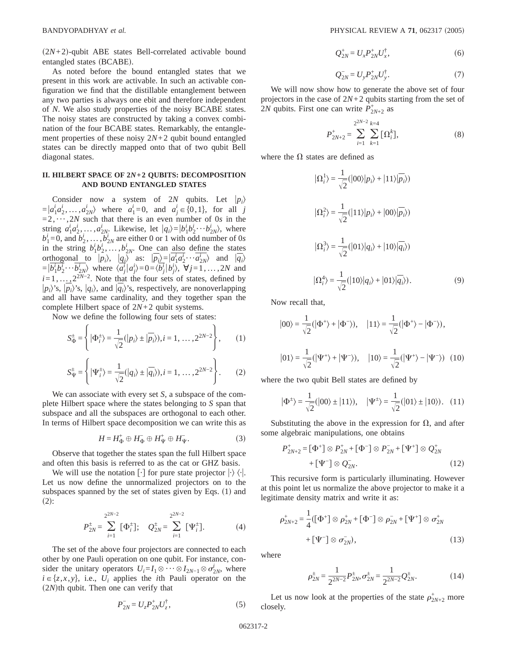$(2N+2)$ -qubit ABE states Bell-correlated activable bound entangled states (BCABE).

As noted before the bound entangled states that we present in this work are activable. In such an activable configuration we find that the distillable entanglement between any two parties is always one ebit and therefore independent of *N*. We also study properties of the noisy BCABE states. The noisy states are constructed by taking a convex combination of the four BCABE states. Remarkably, the entanglement properties of these noisy 2*N*+2 qubit bound entangled states can be directly mapped onto that of two qubit Bell diagonal states.

### **II. HILBERT SPACE OF 2***N***+2 QUBITS: DECOMPOSITION AND BOUND ENTANGLED STATES**

Consider now a system of 2*N* qubits. Let  $|p_i\rangle$  $= |a_1^i a_2^i, \dots, a_{2N}^i\rangle$  where  $a_1^i = 0$ , and  $a_j^i \in \{0, 1\}$ , for all *j*  $=2, \dots, 2N$  such that there is an even number of 0*s* in the string  $a_1^i a_2^i, \ldots, a_{2N}^i$ . Likewise, let  $|q_i\rangle = |b_1^i b_2^i \cdots b_{2N}^i\rangle$ , where  $b_1^i = 0$ , and  $b_2^i$ , ...,  $b_{2N}^i$  are either 0 or 1 with odd number of 0*s* in the string  $b_1^i b_2^j, \ldots, b_{2N}^i$ . One can also define the states orthogonal to  $|p_i\rangle$ ,  $|q_i\rangle$  as:  $|\overline{p_i}\rangle = |\overline{a_1^i a_2^i \cdots a_{2N}^i}\rangle$  and  $|\overline{q_i}\rangle$  $=|\overline{b_1^i b_2^i \cdots b_{2N}^i}\rangle$  where  $\langle a_j^i | a_j^i \rangle = 0 = \langle \overline{b_j^i} | b_j^i \rangle$ ,  $\forall j = 1, ..., 2N$  and  $i=1,\ldots,2^{2N-2}$ . Note that the four sets of states, defined by  $|p_i\rangle$ 's,  $|p_i\rangle$ 's,  $|q_i\rangle$ , and  $|q_i\rangle$ 's, respectively, are nonoverlapping and all have same cardinality, and they together span the complete Hilbert space of 2*N*+2 qubit systems.

Now we define the following four sets of states:

$$
S_{\Phi}^{\pm} = \left\{ |\Phi_i^{\pm}\rangle = \frac{1}{\sqrt{2}} (|p_i\rangle \pm |\overline{p_i}\rangle), i = 1, ..., 2^{2N-2} \right\},
$$
 (1)

$$
S_{\Psi}^{\pm} = \left\{ |\Psi_{i}^{\pm}\rangle = \frac{1}{\sqrt{2}} (|q_{i}\rangle \pm |\overline{q_{i}}\rangle), i = 1, ..., 2^{2N-2} \right\}.
$$
 (2)

We can associate with every set *S*, a subspace of the complete Hilbert space where the states belonging to *S* span that subspace and all the subspaces are orthogonal to each other. In terms of Hilbert space decomposition we can write this as

$$
H = H_{\Phi}^+ \oplus H_{\Phi}^- \oplus H_{\Psi}^+ \oplus H_{\Psi}^-.
$$
 (3)

Observe that together the states span the full Hilbert space and often this basis is referred to as the cat or GHZ basis.

We will use the notation  $\lceil \cdot \rceil$  for pure state projector  $\lceil \cdot \rceil$ . Let us now define the unnormalized projectors on to the subspaces spanned by the set of states given by Eqs.  $(1)$  and  $(2)$ :

$$
P_{2N}^{\pm} = \sum_{i=1}^{2^{2N-2}} [\Phi_i^{\pm}], \quad Q_{2N}^{\pm} = \sum_{i=1}^{2^{2N-2}} [\Psi_i^{\pm}]. \tag{4}
$$

The set of the above four projectors are connected to each other by one Pauli operation on one qubit. For instance, consider the unitary operators  $U_i = I_1 \otimes \cdots \otimes I_{2N-1} \otimes \sigma_{2N}^i$ , where  $i \in \{z, x, y\}$ , i.e.,  $U_i$  applies the *i*th Pauli operator on the  $(2*N*)$ th qubit. Then one can verify that

$$
P_{2N}^- = U_z P_{2N}^+ U_z^\dagger, \tag{5}
$$

$$
Q_{2N}^{+} = U_{x} P_{2N}^{+} U_{x}^{\dagger}, \tag{6}
$$

$$
Q_{2N}^- = U_y P_{2N}^+ U_y^{\dagger}.
$$
 (7)

We will now show how to generate the above set of four projectors in the case of 2*N*+2 qubits starting from the set of 2*N* qubits. First one can write  $\hat{P}_{2N+2}^+$  as

$$
P_{2N+2}^{+} = \sum_{i=1}^{2^{2N-2}} \sum_{k=1}^{k=4} [\Omega_i^k],
$$
 (8)

where the  $\Omega$  states are defined as

$$
|\Omega_i^1\rangle = \frac{1}{\sqrt{2}}(|00\rangle|p_i\rangle + |11\rangle|\overline{p_i}\rangle)
$$
  

$$
|\Omega_i^2\rangle = \frac{1}{\sqrt{2}}(|11\rangle|p_i\rangle + |00\rangle|\overline{p_i}\rangle)
$$
  

$$
|\Omega_i^3\rangle = \frac{1}{\sqrt{2}}(|01\rangle|q_i\rangle + |10\rangle|\overline{q_i}\rangle)
$$
  

$$
|\Omega_i^4\rangle = \frac{1}{\sqrt{2}}(|10\rangle|q_i\rangle + |01\rangle|\overline{q_i}\rangle).
$$
 (9)

Now recall that,

$$
|00\rangle = \frac{1}{\sqrt{2}} (|\Phi^{+}\rangle + |\Phi^{-}\rangle), \quad |11\rangle = \frac{1}{\sqrt{2}} (|\Phi^{+}\rangle - |\Phi^{-}\rangle),
$$
  

$$
|01\rangle = \frac{1}{\sqrt{2}} (|\Psi^{+}\rangle + |\Psi^{-}\rangle), \quad |10\rangle = \frac{1}{\sqrt{2}} (|\Psi^{+}\rangle - |\Psi^{-}\rangle) \quad (10)
$$

where the two qubit Bell states are defined by

$$
|\Phi^{\pm}\rangle = \frac{1}{\sqrt{2}}(|00\rangle \pm |11\rangle), \quad |\Psi^{\pm}\rangle = \frac{1}{\sqrt{2}}(|01\rangle \pm |10\rangle). \quad (11)
$$

Substituting the above in the expression for  $\Omega$ , and after some algebraic manipulations, one obtains

$$
P_{2N+2}^{+} = [\Phi^{+}] \otimes P_{2N}^{+} + [\Phi^{-}] \otimes P_{2N}^{-} + [\Psi^{+}] \otimes Q_{2N}^{+} + [\Psi^{-}] \otimes Q_{2N}^{-}.
$$
\n(12)

This recursive form is particularly illuminating. However at this point let us normalize the above projector to make it a legitimate density matrix and write it as:

$$
\rho_{2N+2}^{+} = \frac{1}{4} ([\Phi^{+}] \otimes \rho_{2N}^{+} + [\Phi^{-}] \otimes \rho_{2N}^{-} + [\Psi^{+}] \otimes \sigma_{2N}^{+} + [\Psi^{-}] \otimes \sigma_{2N}^{-} ), \qquad (13)
$$

where

$$
\rho_{2N}^{\pm} = \frac{1}{2^{2N-2}} P_{2N}^{\pm}, \sigma_{2N}^{\pm} = \frac{1}{2^{2N-2}} Q_{2N}^{\pm}.
$$
 (14)

Let us now look at the properties of the state  $\rho_{2N+2}^+$  more closely.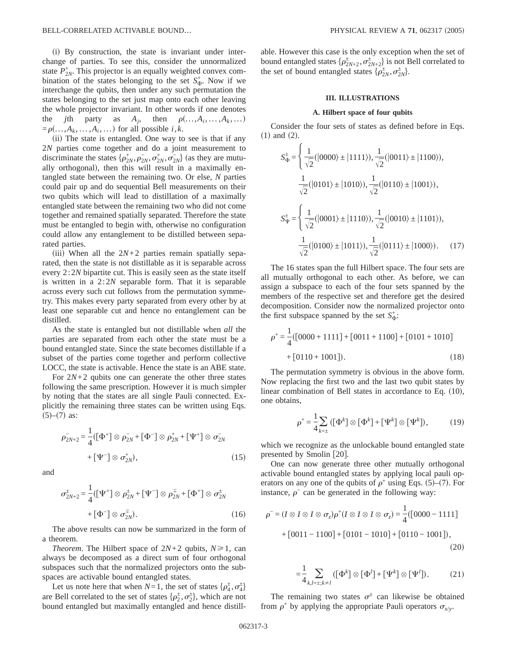(i) By construction, the state is invariant under interchange of parties. To see this, consider the unnormalized state  $P_{2N}^{+}$ . This projector is an equally weighted convex combination of the states belonging to the set  $S_{\Phi}^+$ . Now if we interchange the qubits, then under any such permutation the states belonging to the set just map onto each other leaving the whole projector invariant. In other words if one denotes the *j*th party as  $A_i$ , then  $\rho(\ldots, A_i, \ldots, A_k, \ldots)$  $= \rho(\ldots, A_k, \ldots, A_i, \ldots)$  for all possible *i*,*k*.

(ii) The state is entangled. One way to see is that if any 2*N* parties come together and do a joint measurement to discriminate the states  $\{\rho_{2N}^+, \rho_{2N}^-, \sigma_{2N}^+, \sigma_{2N}^-\}$  (as they are mutually orthogonal), then this will result in a maximally entangled state between the remaining two. Or else, *N* parties could pair up and do sequential Bell measurements on their two qubits which will lead to distillation of a maximally entangled state between the remaining two who did not come together and remained spatially separated. Therefore the state must be entangled to begin with, otherwise no configuration could allow any entanglement to be distilled between separated parties.

(iii) When all the  $2N+2$  parties remain spatially separated, then the state is not distillable as it is separable across every 2:2*N* bipartite cut. This is easily seen as the state itself is written in a 2:2*N* separable form. That it is separable across every such cut follows from the permutation symmetry. This makes every party separated from every other by at least one separable cut and hence no entanglement can be distilled.

As the state is entangled but not distillable when *all* the parties are separated from each other the state must be a bound entangled state. Since the state becomes distillable if a subset of the parties come together and perform collective LOCC, the state is activable. Hence the state is an ABE state.

For  $2N+2$  qubits one can generate the other three states following the same prescription. However it is much simpler by noting that the states are all single Pauli connected. Explicitly the remaining three states can be written using Eqs.  $(5)-(7)$  as:

$$
\rho_{2N+2}^{-} = \frac{1}{4} ([\Phi^{+}] \otimes \rho_{2N}^{-} + [\Phi^{-}] \otimes \rho_{2N}^{+} + [\Psi^{+}] \otimes \sigma_{2N}^{-} + [\Psi^{-}] \otimes \sigma_{2N}^{+},
$$
\n
$$
+ [\Psi^{-}] \otimes \sigma_{2N}^{+}, \qquad (15)
$$

and

$$
\sigma_{2N+2}^{\pm} = \frac{1}{4} \left( \left[ \Psi^+ \right] \otimes \rho_{2N}^{\pm} + \left[ \Psi^- \right] \otimes \rho_{2N}^{\mp} + \left[ \Phi^+ \right] \otimes \sigma_{2N}^{\pm}
$$

$$
+ \left[ \Phi^- \right] \otimes \sigma_{2N}^{\mp} \tag{16}
$$

The above results can now be summarized in the form of a theorem.

*Theorem.* The Hilbert space of  $2N+2$  qubits,  $N \ge 1$ , can always be decomposed as a direct sum of four orthogonal subspaces such that the normalized projectors onto the subspaces are activable bound entangled states.

Let us note here that when  $N=1$ , the set of states  $\{\rho_4^{\pm}, \sigma_4^{\pm}\}$ are Bell correlated to the set of states  $\{\rho_2^{\pm}, \sigma_2^{\pm}\}\$ , which are not bound entangled but maximally entangled and hence distillable. However this case is the only exception when the set of bound entangled states  $\{\rho_{2N+2}^{\pm}, \sigma_{2N+2}^{\pm}\}$  is not Bell correlated to the set of bound entangled states  $\{\rho_{2N}^{\pm}, \sigma_{2N}^{\pm}\}.$ 

#### **III. ILLUSTRATIONS**

#### **A. Hilbert space of four qubits**

Consider the four sets of states as defined before in Eqs.  $(1)$  and  $(2)$ .

$$
S_{\Phi}^{\pm} = \begin{cases} \frac{1}{\sqrt{2}}(|0000\rangle \pm |1111\rangle), \frac{1}{\sqrt{2}}(|0011\rangle \pm |1100\rangle), \\ \frac{1}{\sqrt{2}}(|0101\rangle \pm |1010\rangle), \frac{1}{\sqrt{2}}(|0110\rangle \pm |1001\rangle), \\ S_{\Psi}^{\pm} = \begin{cases} \frac{1}{\sqrt{2}}(|0001\rangle \pm |1110\rangle), \frac{1}{\sqrt{2}}(|0010\rangle \pm |1101\rangle), \\ \frac{1}{\sqrt{2}}(|0100\rangle \pm |1011\rangle), \frac{1}{\sqrt{2}}(|0111\rangle \pm |1000\rangle). \end{cases} (17)
$$

The 16 states span the full Hilbert space. The four sets are all mutually orthogonal to each other. As before, we can assign a subspace to each of the four sets spanned by the members of the respective set and therefore get the desired decomposition. Consider now the normalized projector onto the first subspace spanned by the set  $S_{\Phi}^+$ :

$$
\rho^{+} = \frac{1}{4} ([0000 + 1111] + [0011 + 1100] + [0101 + 1010] + [0110 + 1001]).
$$
\n(18)

The permutation symmetry is obvious in the above form. Now replacing the first two and the last two qubit states by linear combination of Bell states in accordance to Eq.  $(10)$ , one obtains,

$$
\rho^+ = \frac{1}{4} \sum_{k=\pm} \left( \left[ \Phi^k \right] \otimes \left[ \Phi^k \right] + \left[ \Psi^k \right] \otimes \left[ \Psi^k \right] \right), \tag{19}
$$

which we recognize as the unlockable bound entangled state presented by Smolin  $[20]$ .

One can now generate three other mutually orthogonal activable bound entangled states by applying local pauli operators on any one of the qubits of  $\rho^+$  using Eqs. (5)–(7). For instance,  $\rho$ <sup>−</sup> can be generated in the following way:

$$
\rho^{-} = (I \otimes I \otimes I \otimes \sigma_{z})\rho^{+}(I \otimes I \otimes I \otimes \sigma_{z}) = \frac{1}{4}([0000 - 1111] + [0011 - 1100] + [0101 - 1010] + [0110 - 1001]),
$$
\n(20)

$$
=\frac{1}{4}\sum_{k,l=\pm;k\neq l}([\Phi^k]\otimes[\Phi^l]+[\Psi^k]\otimes[\Psi^l]).\hspace{1cm}(21)
$$

The remaining two states  $\sigma^{\pm}$  can likewise be obtained from  $\rho^+$  by applying the appropriate Pauli operators  $\sigma_{x/y}$ .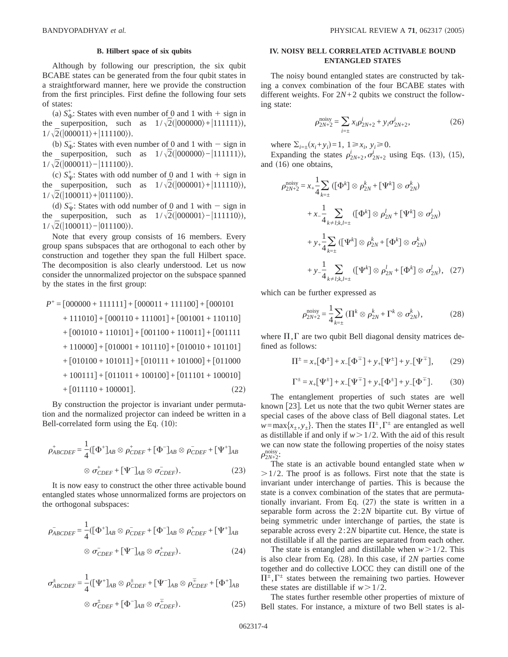#### **B. Hilbert space of six qubits**

Although by following our prescription, the six qubit BCABE states can be generated from the four qubit states in a straightforward manner, here we provide the construction from the first principles. First define the following four sets of states:

(a)  $S_{\Phi}^+$ : States with even number of 0 and 1 with + sign in the superposition, such as  $1/\sqrt{2}(|000000\rangle+|111111\rangle)$ ,  $1/\sqrt{2}(|000011\rangle+|111100\rangle).$ 

(b)  $S_{\Phi}^-$ : States with even number of 0 and 1 with - sign in the superposition, such as  $1/\sqrt{2}(|000000\rangle-|111111\rangle)$ ,  $1/\sqrt{2}(|000011\rangle-|111100\rangle).$ 

(c)  $S^+_W$ : States with odd number of  $\Omega$  and 1 with  $+$  sign in the superposition, such as  $1/\sqrt{2}(|000001\rangle+|111110\rangle)$ ,  $1/\sqrt{2}(|100011\rangle+|011100\rangle).$ 

(d)  $S_{\Psi}^-$ : States with odd number of  $\Omega$  and 1 with - sign in the superposition, such as  $1/\sqrt{2}(|000001\rangle-|111110\rangle)$ ,  $1/\sqrt{2}(|100011\rangle-|011100\rangle).$ 

Note that every group consists of 16 members. Every group spans subspaces that are orthogonal to each other by construction and together they span the full Hilbert space. The decomposition is also clearly understood. Let us now consider the unnormalized projector on the subspace spanned by the states in the first group:

$$
P^+ = [000000 + 111111] + [000011 + 111100] + [000101 + 111010] + [000101 + 111010] + [000110 + 110101] + [001001 + 110111] + [001100 + 110011] + [001111 + 110000] + [010001 + 101110] + [010010 + 101101] + [010100 + 101011] + [010100 + 101011] + [010111 + 101000] + [011000 + 100111] + [011011 + 100000] + [011110 + 100001]. \tag{22}
$$

By construction the projector is invariant under permutation and the normalized projector can indeed be written in a Bell-correlated form using the Eq.  $(10)$ :

$$
\rho_{ABCDEF}^{+} = \frac{1}{4} ([\Phi^{+}]_{AB} \otimes \rho_{CDEF}^{+} + [\Phi^{-}]_{AB} \otimes \rho_{CDEF}^{-} + [\Psi^{+}]_{AB}
$$

$$
\otimes \sigma_{CDEF}^{+} + [\Psi^{-}]_{AB} \otimes \sigma_{CDEF}^{-}). \tag{23}
$$

It is now easy to construct the other three activable bound entangled states whose unnormalized forms are projectors on the orthogonal subspaces:

$$
\rho_{ABCDEF}^{-} = \frac{1}{4} \left( \left[ \Phi^{+} \right]_{AB} \otimes \rho_{CDEF}^{-} + \left[ \Phi^{-} \right]_{AB} \otimes \rho_{CDEF}^{+} + \left[ \Psi^{+} \right]_{AB} \right)
$$

$$
\otimes \sigma_{CDEF}^{-} + \left[ \Psi^{-} \right]_{AB} \otimes \sigma_{CDEF}^{+}.
$$
 (24)

$$
\sigma_{ABCDEF}^{\pm} = \frac{1}{4} ([\Psi^+]_{AB} \otimes \rho_{CDEF}^{\pm} + [\Psi^-]_{AB} \otimes \rho_{CDEF}^{\mp} + [\Phi^+]_{AB}
$$

$$
\otimes \sigma_{CDEF}^{\pm} + [\Phi^-]_{AB} \otimes \sigma_{CDEF}^{\mp}). \tag{25}
$$

#### **IV. NOISY BELL CORRELATED ACTIVABLE BOUND ENTANGLED STATES**

The noisy bound entangled states are constructed by taking a convex combination of the four BCABE states with different weights. For 2*N*+2 qubits we construct the following state:

$$
\rho_{2N+2}^{\text{noisy}} = \sum_{i=\pm} x_i \rho_{2N+2}^i + y_i \sigma_{2N+2}^i,
$$
\n(26)

where  $\Sigma_{i=\pm}(x_i + y_i) = 1, \ 1 \ge x_i, \ y_i \ge 0.$ 

Expanding the states  $\rho_{2N+2}^i, \sigma_{2N+2}^i$  using Eqs. (13), (15), and  $(16)$  one obtains,

$$
\rho_{2N+2}^{\text{noisy}} = x_{+} \frac{1}{4} \sum_{k=\pm} \left( [\Phi^{k}] \otimes \rho_{2N}^{k} + [\Psi^{k}] \otimes \sigma_{2N}^{k} \right)
$$
  
+  $x_{-} \frac{1}{4} \sum_{k=\pm} \left( [\Phi^{k}] \otimes \rho_{2N}^{l} + [\Psi^{k}] \otimes \sigma_{2N}^{l} \right)$   
+  $y_{+} \frac{1}{4} \sum_{k=\pm} \left( [\Psi^{k}] \otimes \rho_{2N}^{k} + [\Phi^{k}] \otimes \sigma_{2N}^{k} \right)$   
+  $y_{-} \frac{1}{4} \sum_{k=\pm} \left( [\Psi^{k}] \otimes \rho_{2N}^{l} + [\Phi^{k}] \otimes \sigma_{2N}^{l} \right), (27)$ 

which can be further expressed as

$$
\rho_{2N+2}^{\text{noisy}} = \frac{1}{4} \sum_{k=\pm} \left( \Pi^k \otimes \rho_{2N}^k + \Gamma^k \otimes \sigma_{2N}^k \right),\tag{28}
$$

where  $\Pi$ ,  $\Gamma$  are two qubit Bell diagonal density matrices defined as follows:

$$
\Pi^{\pm} = x_{+} [\Phi^{\pm}] + x_{-} [\Phi^{\mp}] + y_{+} [\Psi^{\pm}] + y_{-} [\Psi^{\mp}], \qquad (29)
$$

$$
\Gamma^{\pm} = x_{+} [\Psi^{\pm}] + x_{-} [\Psi^{\mp}] + y_{+} [\Phi^{\pm}] + y_{-} [\Phi^{\mp}]. \tag{30}
$$

The entanglement properties of such states are well known  $[23]$ . Let us note that the two qubit Werner states are special cases of the above class of Bell diagonal states. Let *w*=max{*x*<sub>+</sub>, *y*<sub>+</sub>}. Then the states  $\Pi^{\pm}$ ,  $\Gamma^{\pm}$  are entangled as well as distillable if and only if  $w > 1/2$ . With the aid of this result we can now state the following properties of the noisy states  $\rho_{2N+2}^{\text{noisy}}$ :

The state is an activable bound entangled state when *w*  $>1/2$ . The proof is as follows. First note that the state is invariant under interchange of parties. This is because the state is a convex combination of the states that are permutationally invariant. From Eq.  $(27)$  the state is written in a separable form across the 2:2*N* bipartite cut. By virtue of being symmetric under interchange of parties, the state is separable across every 2:2*N* bipartite cut. Hence, the state is not distillable if all the parties are separated from each other.

The state is entangled and distillable when  $w > 1/2$ . This is also clear from Eq.  $(28)$ . In this case, if 2*N* parties come together and do collective LOCC they can distill one of the  $\Pi^{\pm}$ ,  $\Gamma^{\pm}$  states between the remaining two parties. However these states are distillable if  $w > 1/2$ .

The states further resemble other properties of mixture of Bell states. For instance, a mixture of two Bell states is al